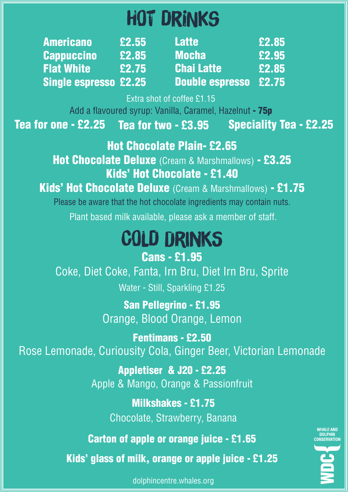## Hot Drinks

| <b>Americano</b>             | £2.55 | <b>Latte</b>                 | £2.85 |
|------------------------------|-------|------------------------------|-------|
| <b>Cappuccino</b>            | £2.85 | <b>Mocha</b>                 | £2.95 |
| <b>Flat White</b>            | £2.75 | <b>Chai Latte</b>            | £2.85 |
| <b>Single espresso £2.25</b> |       | <b>Double espresso £2.75</b> |       |

Extra shot of coffee £1.15

Add a flavoured syrup: Vanilla, Caramel, Hazelnut - 75p

Tea for one - £2.25 Tea for two - £3.95 Speciality Tea - £2.25

## Hot Chocolate Plain- £2.65

Hot Chocolate Deluxe (Cream & Marshmallows) - £3.25 Kids' Hot Chocolate - £1.40

Kids' Hot Chocolate Deluxe (Cream & Marshmallows) - £1.75

Please be aware that the hot chocolate ingredients may contain nuts. Plant based milk available, please ask a member of staff.

## Cold Drinks Cans - £1.95

Coke, Diet Coke, Fanta, Irn Bru, Diet Irn Bru, Sprite Water - Still, Sparkling £1.25

> San Pellegrino - £1.95 Orange, Blood Orange, Lemon

Fentimans - £2.50 Rose Lemonade, Curiousity Cola, Ginger Beer, Victorian Lemonade

> Appletiser & J20 - £2.25 Apple & Mango, Orange & Passionfruit

> > Milkshakes - £1.75 Chocolate, Strawberry, Banana

Carton of apple or orange juice - £1.65

Kids' glass of milk, orange or apple juice - £1.25



**DOLPHIN**